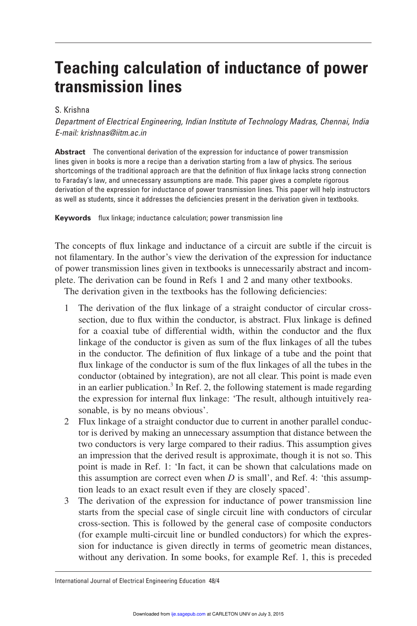# **Teaching calculation of inductance of power transmission lines**

# S. Krishna

*Department of Electrical Engineering, Indian Institute of Technology Madras, Chennai, India E-mail: krishnas@iitm.ac.in*

**Abstract** The conventional derivation of the expression for inductance of power transmission lines given in books is more a recipe than a derivation starting from a law of physics. The serious shortcomings of the traditional approach are that the definition of flux linkage lacks strong connection to Faraday's law, and unnecessary assumptions are made. This paper gives a complete rigorous derivation of the expression for inductance of power transmission lines. This paper will help instructors as well as students, since it addresses the deficiencies present in the derivation given in textbooks.

**Keywords** flux linkage; inductance calculation; power transmission line

The concepts of flux linkage and inductance of a circuit are subtle if the circuit is not filamentary. In the author's view the derivation of the expression for inductance of power transmission lines given in textbooks is unnecessarily abstract and incomplete. The derivation can be found in Refs 1 and 2 and many other textbooks.

The derivation given in the textbooks has the following deficiencies:

- 1 The derivation of the flux linkage of a straight conductor of circular crosssection, due to flux within the conductor, is abstract. Flux linkage is defined for a coaxial tube of differential width, within the conductor and the flux linkage of the conductor is given as sum of the flux linkages of all the tubes in the conductor. The definition of flux linkage of a tube and the point that flux linkage of the conductor is sum of the flux linkages of all the tubes in the conductor (obtained by integration), are not all clear. This point is made even in an earlier publication.<sup>3</sup> In Ref. 2, the following statement is made regarding the expression for internal flux linkage: 'The result, although intuitively reasonable, is by no means obvious'.
- 2 Flux linkage of a straight conductor due to current in another parallel conductor is derived by making an unnecessary assumption that distance between the two conductors is very large compared to their radius. This assumption gives an impression that the derived result is approximate, though it is not so. This point is made in Ref. 1: 'In fact, it can be shown that calculations made on this assumption are correct even when *D* is small', and Ref. 4: 'this assumption leads to an exact result even if they are closely spaced'.
- 3 The derivation of the expression for inductance of power transmission line starts from the special case of single circuit line with conductors of circular cross-section. This is followed by the general case of composite conductors (for example multi-circuit line or bundled conductors) for which the expression for inductance is given directly in terms of geometric mean distances, without any derivation. In some books, for example Ref. 1, this is preceded

International Journal of Electrical Engineering Education 48/4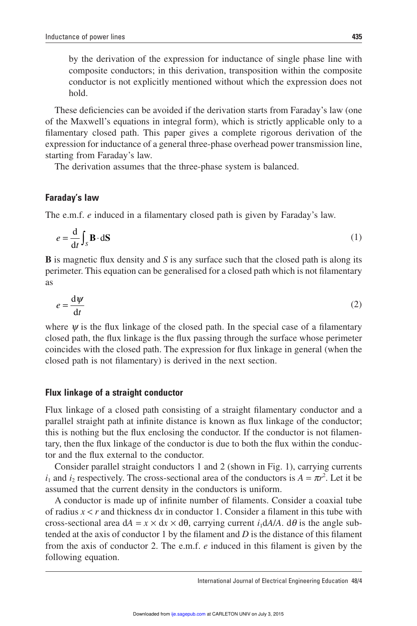by the derivation of the expression for inductance of single phase line with composite conductors; in this derivation, transposition within the composite conductor is not explicitly mentioned without which the expression does not hold.

These deficiencies can be avoided if the derivation starts from Faraday's law (one of the Maxwell's equations in integral form), which is strictly applicable only to a filamentary closed path. This paper gives a complete rigorous derivation of the expression for inductance of a general three-phase overhead power transmission line, starting from Faraday's law.

The derivation assumes that the three-phase system is balanced.

# **Faraday's law**

The e.m.f. *e* induced in a filamentary closed path is given by Faraday's law.

$$
e = \frac{\mathrm{d}}{\mathrm{d}t} \int_{\mathcal{S}} \mathbf{B} \cdot \mathrm{d}S \tag{1}
$$

**B** is magnetic flux density and *S* is any surface such that the closed path is along its perimeter. This equation can be generalised for a closed path which is not filamentary as

$$
e = \frac{\mathrm{d}\psi}{\mathrm{d}t} \tag{2}
$$

where  $\psi$  is the flux linkage of the closed path. In the special case of a filamentary closed path, the flux linkage is the flux passing through the surface whose perimeter coincides with the closed path. The expression for flux linkage in general (when the closed path is not filamentary) is derived in the next section.

## **Flux linkage of a straight conductor**

Flux linkage of a closed path consisting of a straight filamentary conductor and a parallel straight path at infinite distance is known as flux linkage of the conductor; this is nothing but the flux enclosing the conductor. If the conductor is not filamentary, then the flux linkage of the conductor is due to both the flux within the conductor and the flux external to the conductor.

Consider parallel straight conductors 1 and 2 (shown in Fig. 1), carrying currents  $i_1$  and  $i_2$  respectively. The cross-sectional area of the conductors is  $A = \pi r^2$ . Let it be assumed that the current density in the conductors is uniform.

A conductor is made up of infinite number of filaments. Consider a coaxial tube of radius  $x < r$  and thickness dx in conductor 1. Consider a filament in this tube with cross-sectional area  $dA = x \times dx \times d\theta$ , carrying current  $i_1 dA/A$ .  $d\theta$  is the angle subtended at the axis of conductor 1 by the filament and  $D$  is the distance of this filament from the axis of conductor 2. The e.m.f. *e* induced in this filament is given by the following equation.

International Journal of Electrical Engineering Education 48/4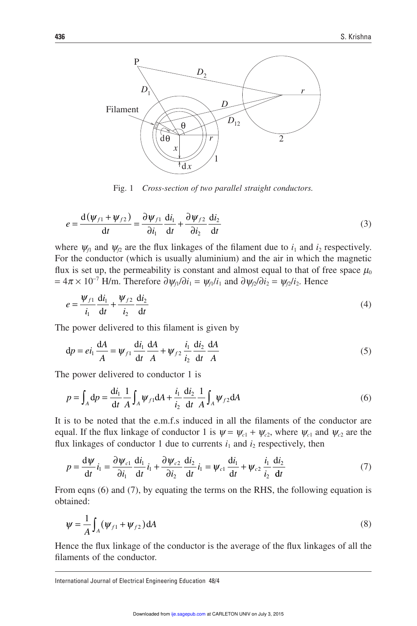

Fig. 1 *Cross-section of two parallel straight conductors.*

$$
e = \frac{\mathrm{d}(\psi_{f1} + \psi_{f2})}{\mathrm{d}t} = \frac{\partial \psi_{f1}}{\partial i_1} \frac{\mathrm{d}i_1}{\mathrm{d}t} + \frac{\partial \psi_{f2}}{\partial i_2} \frac{\mathrm{d}i_2}{\mathrm{d}t}
$$
(3)

where  $\psi_{f1}$  and  $\psi_{f2}$  are the flux linkages of the filament due to  $i_1$  and  $i_2$  respectively. For the conductor (which is usually aluminium) and the air in which the magnetic flux is set up, the permeability is constant and almost equal to that of free space  $\mu_0$  $= 4\pi \times 10^{-7}$  H/m. Therefore  $\partial \psi_{f1}/\partial i_1 = \psi_{f1}/i_1$  and  $\partial \psi_{f2}/\partial i_2 = \psi_{f2}/i_2$ . Hence

$$
e = \frac{\psi_{f1}}{i_1} \frac{\mathrm{d}i_1}{\mathrm{d}t} + \frac{\psi_{f2}}{i_2} \frac{\mathrm{d}i_2}{\mathrm{d}t} \tag{4}
$$

The power delivered to this filament is given by

$$
dp = ei_1 \frac{dA}{A} = \psi_{f1} \frac{di_1}{dt} \frac{dA}{A} + \psi_{f2} \frac{i_1}{i_2} \frac{di_2}{dt} \frac{dA}{A}
$$
 (5)

The power delivered to conductor 1 is

$$
p = \int_{A} dp = \frac{di_{1}}{dt} \frac{1}{A} \int_{A} \psi_{f1} dA + \frac{i_{1}}{i_{2}} \frac{di_{2}}{dt} \frac{1}{A} \int_{A} \psi_{f2} dA
$$
 (6)

It is to be noted that the e.m.f.s induced in all the filaments of the conductor are equal. If the flux linkage of conductor 1 is  $\psi = \psi_{c1} + \psi_{c2}$ , where  $\psi_{c1}$  and  $\psi_{c2}$  are the flux linkages of conductor 1 due to currents  $i_1$  and  $i_2$  respectively, then

$$
p = \frac{d\psi}{dt} i_1 = \frac{\partial \psi_{c1}}{\partial i_1} \frac{di_1}{dt} i_1 + \frac{\partial \psi_{c2}}{\partial i_2} \frac{di_2}{dt} i_1 = \psi_{c1} \frac{di_1}{dt} + \psi_{c2} \frac{i_1}{i_2} \frac{di_2}{dt}
$$
(7)

From eqns (6) and (7), by equating the terms on the RHS, the following equation is obtained:

$$
\psi = \frac{1}{A} \int_{A} (\psi_{f1} + \psi_{f2}) dA \tag{8}
$$

Hence the flux linkage of the conductor is the average of the flux linkages of all the filaments of the conductor.

International Journal of Electrical Engineering Education 48/4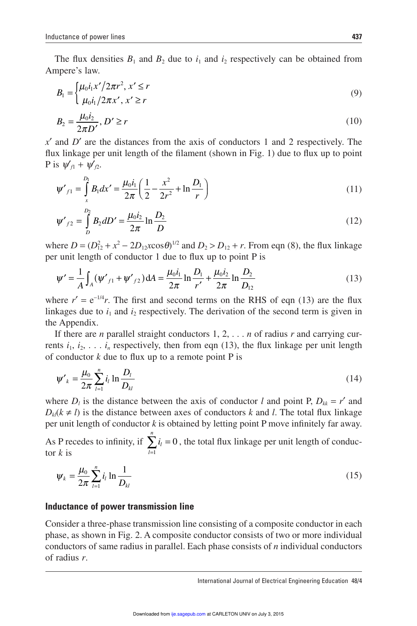The flux densities  $B_1$  and  $B_2$  due to  $i_1$  and  $i_2$  respectively can be obtained from Ampere's law.

$$
B_1 = \begin{cases} \mu_0 i_1 x'/2\pi r^2, x' \le r \\ \mu_0 i_1 / 2\pi x', x' \ge r \end{cases}
$$
 (9)

$$
B_2 = \frac{\mu_0 i_2}{2\pi D'}, D' \ge r
$$
\n(10)

 $x'$  and  $D'$  are the distances from the axis of conductors 1 and 2 respectively. The flux linkage per unit length of the filament (shown in Fig. 1) due to flux up to point  $P$  is  $\psi'_{f1} + \psi'_{f2}$ .

$$
\psi'_{f1} = \int_{x}^{D_1} B_1 dx' = \frac{\mu_0 i_1}{2\pi} \left( \frac{1}{2} - \frac{x^2}{2r^2} + \ln \frac{D_1}{r} \right)
$$
(11)

$$
\psi'_{f2} = \int_{D}^{D_2} B_2 dD' = \frac{\mu_0 i_2}{2\pi} \ln \frac{D_2}{D}
$$
 (12)

where  $D = (D_{12}^2 + x^2 - 2D_{12}x\cos\theta)^{1/2}$  and  $D_2 > D_{12} + r$ . From eqn (8), the flux linkage per unit length of conductor  $1$  due to flux up to point  $P$  is

$$
\psi' = \frac{1}{A} \int_{A} (\psi'_{f1} + \psi'_{f2}) dA = \frac{\mu_0 i_1}{2\pi} \ln \frac{D_1}{r'} + \frac{\mu_0 i_2}{2\pi} \ln \frac{D_2}{D_{12}}
$$
(13)

where  $r' = e^{-1/4}r$ . The first and second terms on the RHS of eqn (13) are the flux linkages due to  $i_1$  and  $i_2$  respectively. The derivation of the second term is given in the Appendix.

If there are *n* parallel straight conductors 1, 2, . . . *n* of radius *r* and carrying currents  $i_1, i_2, \ldots, i_n$  respectively, then from eqn (13), the flux linkage per unit length of conductor  $k$  due to flux up to a remote point  $P$  is

$$
\psi'_{k} = \frac{\mu_{0}}{2\pi} \sum_{l=1}^{n} i_{l} \ln \frac{D_{l}}{D_{kl}}
$$
(14)

where  $D_l$  is the distance between the axis of conductor *l* and point P,  $D_{kk} = r'$  and  $D_k(k \neq l)$  is the distance between axes of conductors *k* and *l*. The total flux linkage per unit length of conductor  $k$  is obtained by letting point P move infinitely far away.

As P recedes to infinity, if  $\sum_i i_i$ *l*  $\sum_{i=1}^{n}$  $\sum_{l=1}^{ } i_l = 0$ , the total flux linkage per unit length of conductor *k* is

$$
\Psi_k = \frac{\mu_0}{2\pi} \sum_{l=1}^n i_l \ln \frac{1}{D_{kl}}
$$
(15)

# **Inductance of power transmission line**

Consider a three-phase transmission line consisting of a composite conductor in each phase, as shown in Fig. 2. A composite conductor consists of two or more individual conductors of same radius in parallel. Each phase consists of *n* individual conductors of radius *r*.

International Journal of Electrical Engineering Education 48/4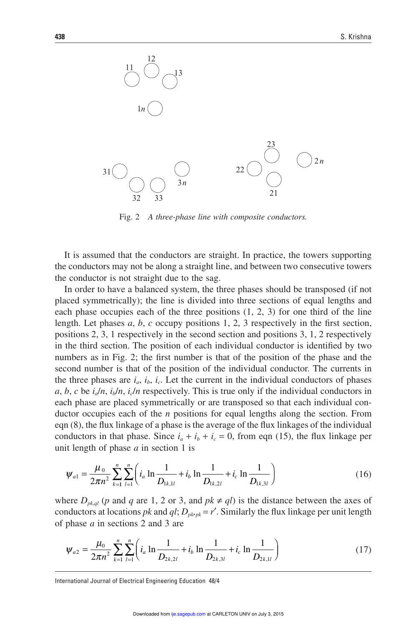

Fig. 2 *A three-phase line with composite conductors.*

It is assumed that the conductors are straight. In practice, the towers supporting the conductors may not be along a straight line, and between two consecutive towers the conductor is not straight due to the sag.

In order to have a balanced system, the three phases should be transposed (if not placed symmetrically); the line is divided into three sections of equal lengths and each phase occupies each of the three positions  $(1, 2, 3)$  for one third of the line length. Let phases  $a, b, c$  occupy positions 1, 2, 3 respectively in the first section, positions 2, 3, 1 respectively in the second section and positions 3, 1, 2 respectively in the third section. The position of each individual conductor is identified by two numbers as in Fig. 2; the first number is that of the position of the phase and the second number is that of the position of the individual conductor. The currents in the three phases are  $i_a$ ,  $i_b$ ,  $i_c$ . Let the current in the individual conductors of phases *a*, *b*, *c* be *ia*/*n*, *ib*/*n*, *i<sup>c</sup>* /*n* respectively. This is true only if the individual conductors in each phase are placed symmetrically or are transposed so that each individual conductor occupies each of the *n* positions for equal lengths along the section. From eqn  $(8)$ , the flux linkage of a phase is the average of the flux linkages of the individual conductors in that phase. Since  $i_a + i_b + i_c = 0$ , from eqn (15), the flux linkage per unit length of phase *a* in section 1 is

$$
\Psi_{a1} = \frac{\mu_0}{2\pi n^2} \sum_{k=1}^n \sum_{l=1}^n \left( i_a \ln \frac{1}{D_{1k,1l}} + i_b \ln \frac{1}{D_{1k,2l}} + i_c \ln \frac{1}{D_{1k,3l}} \right) \tag{16}
$$

where  $D_{pk,ql}$  (*p* and *q* are 1, 2 or 3, and  $pk \neq gl$ ) is the distance between the axes of conductors at locations *pk* and  $ql$ ;  $D_{pbpk} = r'$ . Similarly the flux linkage per unit length of phase *a* in sections 2 and 3 are

$$
\Psi_{a2} = \frac{\mu_0}{2\pi n^2} \sum_{k=1}^n \sum_{l=1}^n \left( i_a \ln \frac{1}{D_{2k,2l}} + i_b \ln \frac{1}{D_{2k,3l}} + i_c \ln \frac{1}{D_{2k,1l}} \right)
$$
(17)

International Journal of Electrical Engineering Education 48/4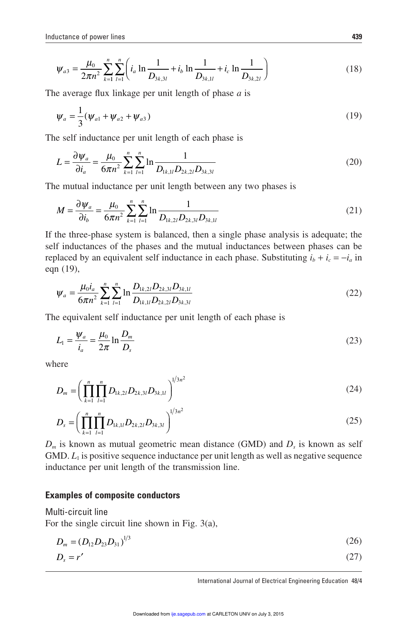$$
\Psi_{a3} = \frac{\mu_0}{2\pi n^2} \sum_{k=1}^n \sum_{l=1}^n \left( i_a \ln \frac{1}{D_{3k,3l}} + i_b \ln \frac{1}{D_{3k,1l}} + i_c \ln \frac{1}{D_{3k,2l}} \right)
$$
(18)

The average flux linkage per unit length of phase  $a$  is

$$
\Psi_a = \frac{1}{3} (\Psi_{a1} + \Psi_{a2} + \Psi_{a3})
$$
\n(19)

The self inductance per unit length of each phase is

$$
L = \frac{\partial \psi_a}{\partial i_a} = \frac{\mu_0}{6\pi n^2} \sum_{k=1}^n \sum_{l=1}^n \ln \frac{1}{D_{1k,1l} D_{2k,2l} D_{3k,3l}}
$$
(20)

The mutual inductance per unit length between any two phases is

$$
M = \frac{\partial \psi_a}{\partial i_b} = \frac{\mu_0}{6\pi n^2} \sum_{k=1}^n \sum_{l=1}^n \ln \frac{1}{D_{1k,2l} D_{2k,3l} D_{3k,1l}}
$$
(21)

If the three-phase system is balanced, then a single phase analysis is adequate; the self inductances of the phases and the mutual inductances between phases can be replaced by an equivalent self inductance in each phase. Substituting  $i_b + i_c = -i_a$  in eqn (19),

$$
\psi_a = \frac{\mu_0 i_a}{6\pi n^2} \sum_{k=1}^n \sum_{l=1}^n \ln \frac{D_{1k,2l} D_{2k,3l} D_{3k,1l}}{D_{1k,1l} D_{2k,2l} D_{3k,3l}} \tag{22}
$$

The equivalent self inductance per unit length of each phase is

$$
L_1 = \frac{\Psi_a}{i_a} = \frac{\mu_0}{2\pi} \ln \frac{D_m}{D_s} \tag{23}
$$

where

$$
D_m = \left(\prod_{k=1}^n \prod_{l=1}^n D_{1k,2l} D_{2k,3l} D_{3k,1l}\right)^{1/3n^2}
$$
\n(24)

$$
D_s = \left(\prod_{k=1}^n \prod_{l=1}^n D_{1k,1l} D_{2k,2l} D_{3k,3l}\right)^{1/3n^2}
$$
\n(25)

 $D_m$  is known as mutual geometric mean distance (GMD) and  $D_s$  is known as self  $GMD$ .  $L_1$  is positive sequence inductance per unit length as well as negative sequence inductance per unit length of the transmission line.

# **Examples of composite conductors**

Multi-circuit line For the single circuit line shown in Fig. 3(a),

$$
D_m = (D_{12}D_{23}D_{31})^{1/3}
$$
\n
$$
D_s = r'
$$
\n(27)

International Journal of Electrical Engineering Education 48/4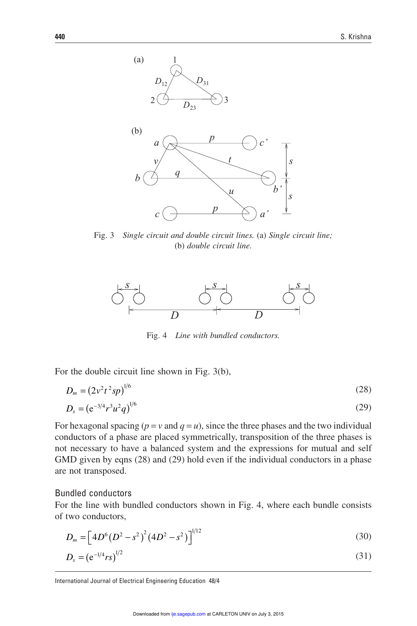

Fig. 3 *Single circuit and double circuit lines.* (a) *Single circuit line;* (b) *double circuit line.*



Fig. 4 *Line with bundled conductors.*

For the double circuit line shown in Fig. 3(b),

$$
D_m = (2v^2t^2sp)^{1/6}
$$
 (28)

$$
D_s = (e^{-3/4}r^3u^2q)^{1/6} \tag{29}
$$

For hexagonal spacing  $(p = v \text{ and } q = u)$ , since the three phases and the two individual conductors of a phase are placed symmetrically, transposition of the three phases is not necessary to have a balanced system and the expressions for mutual and self GMD given by eqns (28) and (29) hold even if the individual conductors in a phase are not transposed.

#### Bundled conductors

For the line with bundled conductors shown in Fig. 4, where each bundle consists of two conductors,

$$
D_m = \left[4D^6\left(D^2 - s^2\right)^2\left(4D^2 - s^2\right)\right]^{1/12} \tag{30}
$$

$$
D_s = (e^{-1/4}rs)^{1/2}
$$
 (31)

International Journal of Electrical Engineering Education 48/4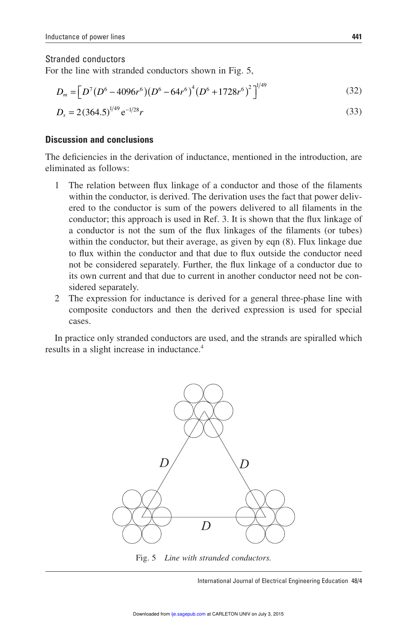## Stranded conductors

For the line with stranded conductors shown in Fig. 5,

$$
D_m = \left[ D^7 (D^6 - 4096r^6) (D^6 - 64r^6)^4 (D^6 + 1728r^6)^2 \right]^{1/49}
$$
 (32)

$$
D_s = 2(364.5)^{1/49} e^{-1/28} r \tag{33}
$$

# **Discussion and conclusions**

The deficiencies in the derivation of inductance, mentioned in the introduction, are eliminated as follows:

- 1 The relation between flux linkage of a conductor and those of the filaments within the conductor, is derived. The derivation uses the fact that power delivered to the conductor is sum of the powers delivered to all filaments in the conductor; this approach is used in Ref. 3. It is shown that the flux linkage of a conductor is not the sum of the flux linkages of the filaments (or tubes) within the conductor, but their average, as given by eqn  $(8)$ . Flux linkage due to flux within the conductor and that due to flux outside the conductor need not be considered separately. Further, the flux linkage of a conductor due to its own current and that due to current in another conductor need not be considered separately.
- 2 The expression for inductance is derived for a general three-phase line with composite conductors and then the derived expression is used for special cases.

In practice only stranded conductors are used, and the strands are spiralled which results in a slight increase in inductance.<sup>4</sup>



Fig. 5 *Line with stranded conductors.*

International Journal of Electrical Engineering Education 48/4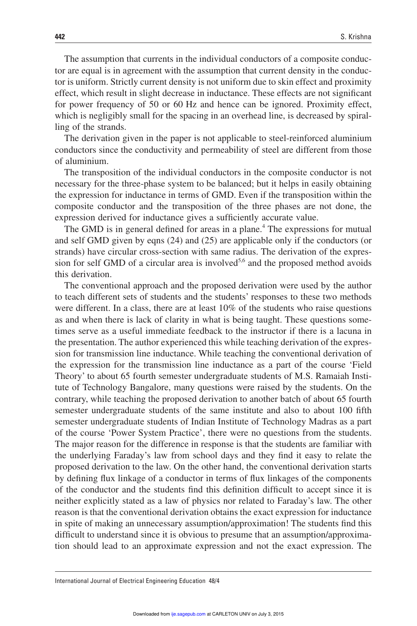The assumption that currents in the individual conductors of a composite conductor are equal is in agreement with the assumption that current density in the conductor is uniform. Strictly current density is not uniform due to skin effect and proximity effect, which result in slight decrease in inductance. These effects are not significant for power frequency of 50 or 60 Hz and hence can be ignored. Proximity effect, which is negligibly small for the spacing in an overhead line, is decreased by spiralling of the strands.

The derivation given in the paper is not applicable to steel-reinforced aluminium conductors since the conductivity and permeability of steel are different from those of aluminium.

The transposition of the individual conductors in the composite conductor is not necessary for the three-phase system to be balanced; but it helps in easily obtaining the expression for inductance in terms of GMD. Even if the transposition within the composite conductor and the transposition of the three phases are not done, the expression derived for inductance gives a sufficiently accurate value.

The GMD is in general defined for areas in a plane.<sup>4</sup> The expressions for mutual and self GMD given by eqns (24) and (25) are applicable only if the conductors (or strands) have circular cross-section with same radius. The derivation of the expression for self GMD of a circular area is involved<sup>5,6</sup> and the proposed method avoids this derivation.

The conventional approach and the proposed derivation were used by the author to teach different sets of students and the students' responses to these two methods were different. In a class, there are at least 10% of the students who raise questions as and when there is lack of clarity in what is being taught. These questions sometimes serve as a useful immediate feedback to the instructor if there is a lacuna in the presentation. The author experienced this while teaching derivation of the expression for transmission line inductance. While teaching the conventional derivation of the expression for the transmission line inductance as a part of the course 'Field Theory' to about 65 fourth semester undergraduate students of M.S. Ramaiah Institute of Technology Bangalore, many questions were raised by the students. On the contrary, while teaching the proposed derivation to another batch of about 65 fourth semester undergraduate students of the same institute and also to about 100 fifth semester undergraduate students of Indian Institute of Technology Madras as a part of the course 'Power System Practice', there were no questions from the students. The major reason for the difference in response is that the students are familiar with the underlying Faraday's law from school days and they find it easy to relate the proposed derivation to the law. On the other hand, the conventional derivation starts by defining flux linkage of a conductor in terms of flux linkages of the components of the conductor and the students find this definition difficult to accept since it is neither explicitly stated as a law of physics nor related to Faraday's law. The other reason is that the conventional derivation obtains the exact expression for inductance in spite of making an unnecessary assumption/approximation! The students find this difficult to understand since it is obvious to presume that an assumption/approximation should lead to an approximate expression and not the exact expression. The

International Journal of Electrical Engineering Education 48/4